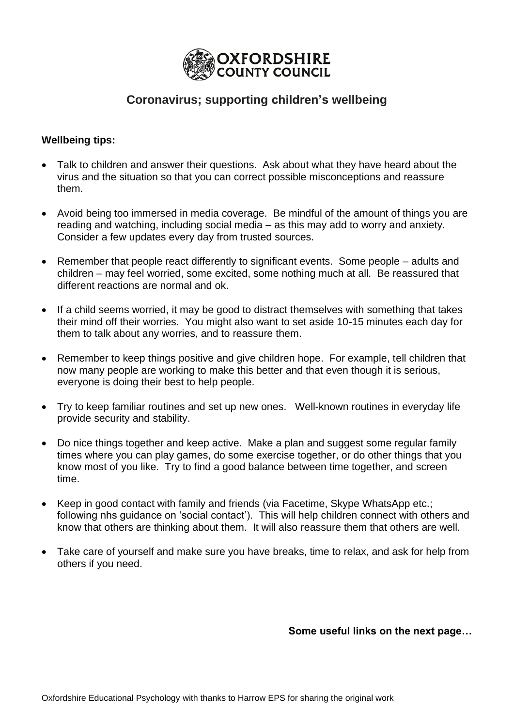

# **Coronavirus; supporting children's wellbeing**

## **Wellbeing tips:**

- Talk to children and answer their questions. Ask about what they have heard about the virus and the situation so that you can correct possible misconceptions and reassure them.
- Avoid being too immersed in media coverage. Be mindful of the amount of things you are reading and watching, including social media – as this may add to worry and anxiety. Consider a few updates every day from trusted sources.
- Remember that people react differently to significant events. Some people adults and children – may feel worried, some excited, some nothing much at all. Be reassured that different reactions are normal and ok.
- If a child seems worried, it may be good to distract themselves with something that takes their mind off their worries. You might also want to set aside 10-15 minutes each day for them to talk about any worries, and to reassure them.
- Remember to keep things positive and give children hope. For example, tell children that now many people are working to make this better and that even though it is serious, everyone is doing their best to help people.
- Try to keep familiar routines and set up new ones. Well-known routines in everyday life provide security and stability.
- Do nice things together and keep active. Make a plan and suggest some regular family times where you can play games, do some exercise together, or do other things that you know most of you like. Try to find a good balance between time together, and screen time.
- Keep in good contact with family and friends (via Facetime, Skype WhatsApp etc.; following nhs guidance on 'social contact'). This will help children connect with others and know that others are thinking about them. It will also reassure them that others are well.
- Take care of yourself and make sure you have breaks, time to relax, and ask for help from others if you need.

**Some useful links on the next page…**